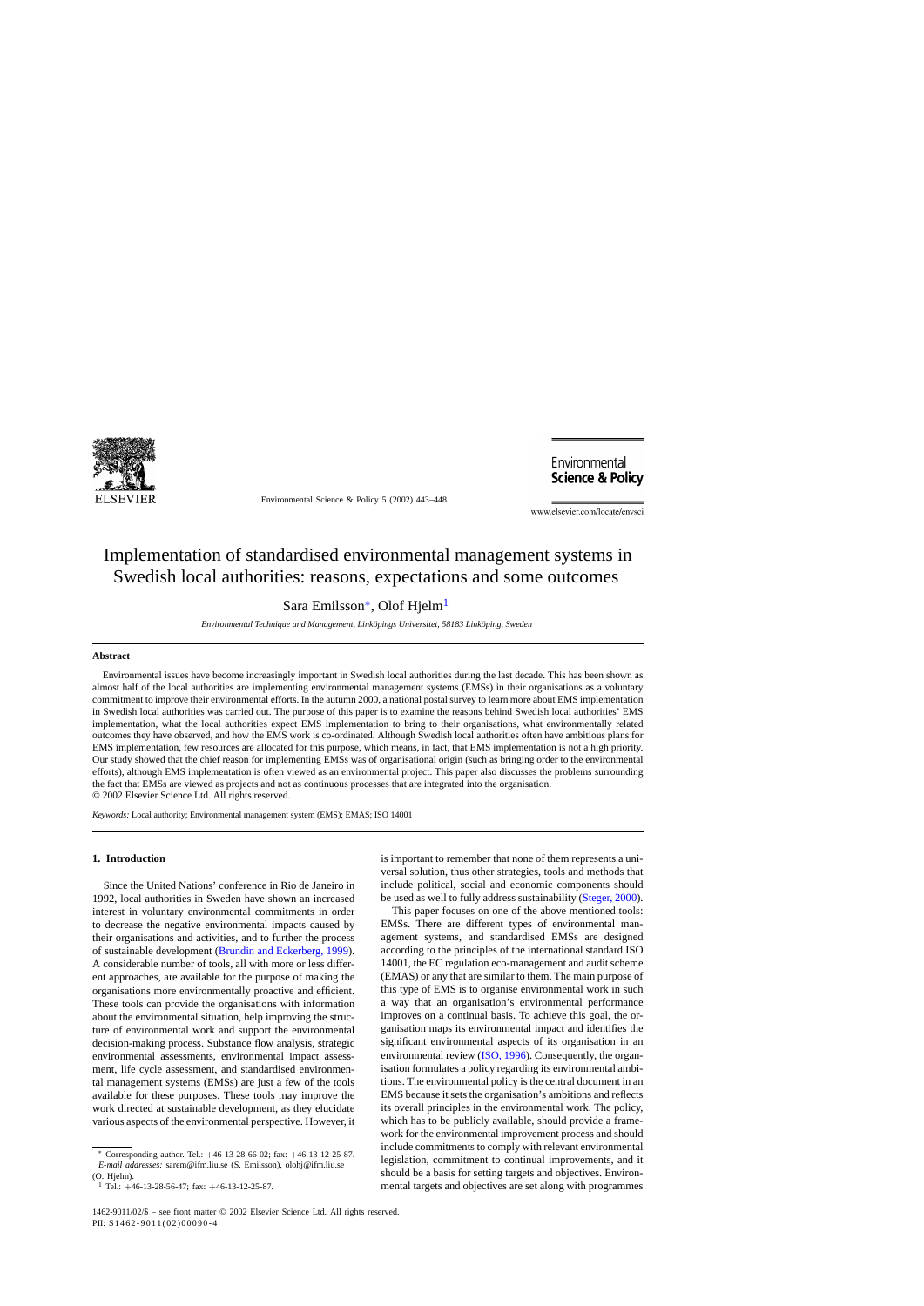

Environmental Science & Policy 5 (2002) 443–448

Environmental **Science & Policy** 

www.elsevier.com/locate/envsci

# Implementation of standardised environmental management systems in Swedish local authorities: reasons, expectations and some outcomes

Sara Emilsson∗, Olof Hjelm1

*Environmental Technique and Management, Linköpings Universitet, 58183 Linköping, Sweden*

#### **Abstract**

Environmental issues have become increasingly important in Swedish local authorities during the last decade. This has been shown as almost half of the local authorities are implementing environmental management systems (EMSs) in their organisations as a voluntary commitment to improve their environmental efforts. In the autumn 2000, a national postal survey to learn more about EMS implementation in Swedish local authorities was carried out. The purpose of this paper is to examine the reasons behind Swedish local authorities' EMS implementation, what the local authorities expect EMS implementation to bring to their organisations, what environmentally related outcomes they have observed, and how the EMS work is co-ordinated. Although Swedish local authorities often have ambitious plans for EMS implementation, few resources are allocated for this purpose, which means, in fact, that EMS implementation is not a high priority. Our study showed that the chief reason for implementing EMSs was of organisational origin (such as bringing order to the environmental efforts), although EMS implementation is often viewed as an environmental project. This paper also discusses the problems surrounding the fact that EMSs are viewed as projects and not as continuous processes that are integrated into the organisation. © 2002 Elsevier Science Ltd. All rights reserved.

*Keywords:* Local authority; Environmental management system (EMS); EMAS; ISO 14001

### **1. Introduction**

Since the United Nations' conference in Rio de Janeiro in 1992, local authorities in Sweden have shown an increased interest in voluntary environmental commitments in order to decrease the negative environmental impacts caused by their organisations and activities, and to further the process of sustainable development [\(Brundin and Eckerberg, 1999\).](#page--1-0) A considerable number of tools, all with more or less different approaches, are available for the purpose of making the organisations more environmentally proactive and efficient. These tools can provide the organisations with information about the environmental situation, help improving the structure of environmental work and support the environmental decision-making process. Substance flow analysis, strategic environmental assessments, environmental impact assessment, life cycle assessment, and standardised environmental management systems (EMSs) are just a few of the tools available for these purposes. These tools may improve the work directed at sustainable development, as they elucidate various aspects of the environmental perspective. However, it is important to remember that none of them represents a universal solution, thus other strategies, tools and methods that include political, social and economic components should be used as well to fully address sustainability [\(Steger, 2000\).](#page--1-0)

This paper focuses on one of the above mentioned tools: EMSs. There are different types of environmental management systems, and standardised EMSs are designed according to the principles of the international standard ISO 14001, the EC regulation eco-management and audit scheme (EMAS) or any that are similar to them. The main purpose of this type of EMS is to organise environmental work in such a way that an organisation's environmental performance improves on a continual basis. To achieve this goal, the organisation maps its environmental impact and identifies the significant environmental aspects of its organisation in an environmental review ([ISO, 1996\).](#page--1-0) Consequently, the organisation formulates a policy regarding its environmental ambitions. The environmental policy is the central document in an EMS because it sets the organisation's ambitions and reflects its overall principles in the environmental work. The policy, which has to be publicly available, should provide a framework for the environmental improvement process and should include commitments to comply with relevant environmental legislation, commitment to continual improvements, and it should be a basis for setting targets and objectives. Environmental targets and objectives are set along with programmes

<sup>∗</sup> Corresponding author. Tel.: +46-13-28-66-02; fax: +46-13-12-25-87. *E-mail addresses:* sarem@ifm.liu.se (S. Emilsson), olohj@ifm.liu.se

<sup>(</sup>O. Hjelm).

<sup>&</sup>lt;sup>1</sup> Tel.:  $+46-13-28-56-47$ ; fax:  $+46-13-12-25-87$ .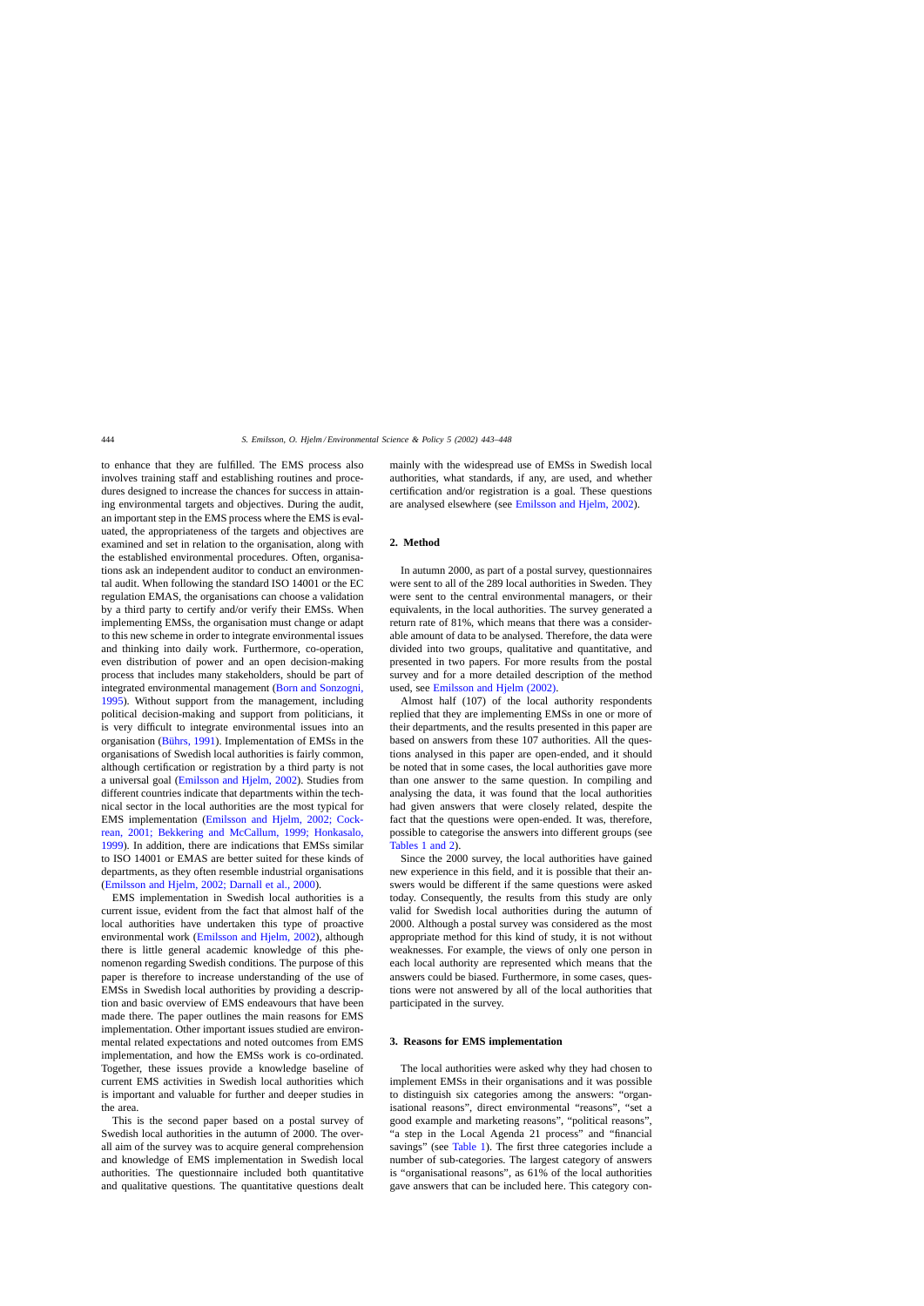to enhance that they are fulfilled. The EMS process also involves training staff and establishing routines and procedures designed to increase the chances for success in attaining environmental targets and objectives. During the audit, an important step in the EMS process where the EMS is evaluated, the appropriateness of the targets and objectives are examined and set in relation to the organisation, along with the established environmental procedures. Often, organisations ask an independent auditor to conduct an environmental audit. When following the standard ISO 14001 or the EC regulation EMAS, the organisations can choose a validation by a third party to certify and/or verify their EMSs. When implementing EMSs, the organisation must change or adapt to this new scheme in order to integrate environmental issues and thinking into daily work. Furthermore, co-operation, even distribution of power and an open decision-making process that includes many stakeholders, should be part of integrated environmental management ([Born and Sonzogni,](#page--1-0) [1995\).](#page--1-0) Without support from the management, including political decision-making and support from politicians, it is very difficult to integrate environmental issues into an organisation ([Bührs, 1991\).](#page--1-0) Implementation of EMSs in the organisations of Swedish local authorities is fairly common, although certification or registration by a third party is not a universal goal ([Emilsson and Hjelm, 2002\).](#page--1-0) Studies from different countries indicate that departments within the technical sector in the local authorities are the most typical for EMS implementation ([Emilsson and Hjelm, 2002; Cock](#page--1-0)[rean, 2001; Bekkering and McCallum, 1999; Honkasalo,](#page--1-0) [1999\).](#page--1-0) In addition, there are indications that EMSs similar to ISO 14001 or EMAS are better suited for these kinds of departments, as they often resemble industrial organisations ([Emilsson and Hjelm, 2002; Darnall et al., 2000\).](#page--1-0)

EMS implementation in Swedish local authorities is a current issue, evident from the fact that almost half of the local authorities have undertaken this type of proactive environmental work ([Emilsson and Hjelm, 2002\),](#page--1-0) although there is little general academic knowledge of this phenomenon regarding Swedish conditions. The purpose of this paper is therefore to increase understanding of the use of EMSs in Swedish local authorities by providing a description and basic overview of EMS endeavours that have been made there. The paper outlines the main reasons for EMS implementation. Other important issues studied are environmental related expectations and noted outcomes from EMS implementation, and how the EMSs work is co-ordinated. Together, these issues provide a knowledge baseline of current EMS activities in Swedish local authorities which is important and valuable for further and deeper studies in the area.

This is the second paper based on a postal survey of Swedish local authorities in the autumn of 2000. The overall aim of the survey was to acquire general comprehension and knowledge of EMS implementation in Swedish local authorities. The questionnaire included both quantitative and qualitative questions. The quantitative questions dealt

mainly with the widespread use of EMSs in Swedish local authorities, what standards, if any, are used, and whether certification and/or registration is a goal. These questions are analysed elsewhere (see [Emilsson and Hjelm, 2002\).](#page--1-0)

### **2. Method**

In autumn 2000, as part of a postal survey, questionnaires were sent to all of the 289 local authorities in Sweden. They were sent to the central environmental managers, or their equivalents, in the local authorities. The survey generated a return rate of 81%, which means that there was a considerable amount of data to be analysed. Therefore, the data were divided into two groups, qualitative and quantitative, and presented in two papers. For more results from the postal survey and for a more detailed description of the method used, see [Emilsson and Hjelm \(2002\).](#page--1-0)

Almost half (107) of the local authority respondents replied that they are implementing EMSs in one or more of their departments, and the results presented in this paper are based on answers from these 107 authorities. All the questions analysed in this paper are open-ended, and it should be noted that in some cases, the local authorities gave more than one answer to the same question. In compiling and analysing the data, it was found that the local authorities had given answers that were closely related, despite the fact that the questions were open-ended. It was, therefore, possible to categorise the answers into different groups (see [Tables 1 and 2\).](#page--1-0)

Since the 2000 survey, the local authorities have gained new experience in this field, and it is possible that their answers would be different if the same questions were asked today. Consequently, the results from this study are only valid for Swedish local authorities during the autumn of 2000. Although a postal survey was considered as the most appropriate method for this kind of study, it is not without weaknesses. For example, the views of only one person in each local authority are represented which means that the answers could be biased. Furthermore, in some cases, questions were not answered by all of the local authorities that participated in the survey.

## **3. Reasons for EMS implementation**

The local authorities were asked why they had chosen to implement EMSs in their organisations and it was possible to distinguish six categories among the answers: "organisational reasons", direct environmental "reasons", "set a good example and marketing reasons", "political reasons", "a step in the Local Agenda 21 process" and "financial savings" (see [Table 1\).](#page--1-0) The first three categories include a number of sub-categories. The largest category of answers is "organisational reasons", as 61% of the local authorities gave answers that can be included here. This category con-